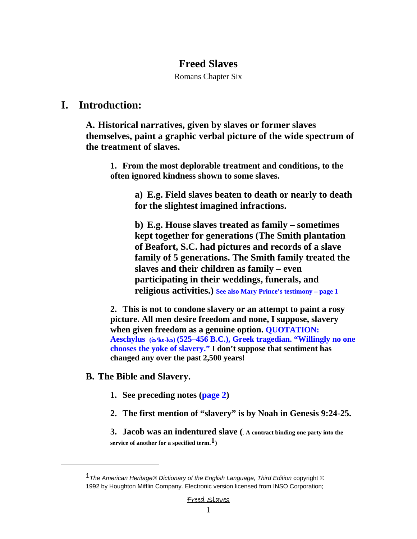## **Freed Slaves**

Romans Chapter Six

## **I. Introduction:**

**A. Historical narratives, given by slaves or former slaves themselves, paint a graphic verbal picture of the wide spectrum of the treatment of slaves.** 

**1. From the most deplorable treatment and conditions, to the often ignored kindness shown to some slaves.** 

> **a) E.g. Field slaves beaten to death or nearly to death for the slightest imagined infractions.**

> **b) E.g. House slaves treated as family – sometimes kept together for generations (The Smith plantation of Beafort, S.C. had pictures and records of a slave family of 5 generations. The Smith family treated the slaves and their children as family – even participating in their weddings, funerals, and religious activities.) See also Mary Prince's testimony – page 1**

**2. This is not to condone slavery or an attempt to paint a rosy picture. All men desire freedom and none, I suppose, slavery when given freedom as a genuine option. QUOTATION:**  Aeschylus (ès<sup>1</sup>ke-les) (525–456 B.C.), Greek tragedian. "Willingly no one **chooses the yoke of slavery." I don't suppose that sentiment has changed any over the past 2,500 years!**

## **B. The Bible and Slavery.**

<span id="page-0-0"></span> $\overline{a}$ 

- **1. See preceding notes (page 2)**
- **2. The first mention of "slavery" is by Noah in Genesis 9:24-25.**

**3. Jacob was an indentured slave (**. **A contract binding one party into the service of another for a specified term.[1](#page-0-0))**

<sup>1</sup>*The American Heritage® Dictionary of the English Language, Third Edition* copyright © 1992 by Houghton Mifflin Company. Electronic version licensed from INSO Corporation;